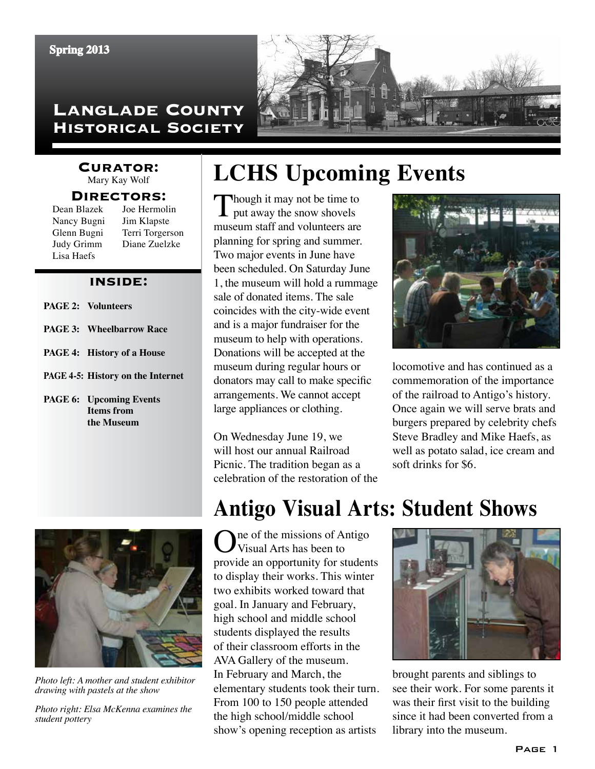### **Langlade County Historical Society**



### **Curator:**

Mary Kay Wolf

#### **Directors:**

| Dean Blazek | Joe Hermolin    |
|-------------|-----------------|
| Nancy Bugni | Jim Klapste     |
| Glenn Bugni | Terri Torgerson |
| Judy Grimm  | Diane Zuelzke   |
| Lisa Haefs  |                 |

#### **inside:**

- **page 2: Volunteers**
- **page 3: Wheelbarrow Race**
- **page 4: History of a House**
- **PAGE 4-5: History on the Internet**
- **page 6: Upcoming Events Items from the Museum**

# **LCHS Upcoming Events**

Though it may not be time to put away the snow shovels museum staff and volunteers are planning for spring and summer. Two major events in June have been scheduled. On Saturday June 1, the museum will hold a rummage sale of donated items. The sale coincides with the city-wide event and is a major fundraiser for the museum to help with operations. Donations will be accepted at the museum during regular hours or donators may call to make specific arrangements. We cannot accept large appliances or clothing.

On Wednesday June 19, we will host our annual Railroad Picnic. The tradition began as a celebration of the restoration of the



locomotive and has continued as a commemoration of the importance of the railroad to Antigo's history. Once again we will serve brats and burgers prepared by celebrity chefs Steve Bradley and Mike Haefs, as well as potato salad, ice cream and soft drinks for \$6.



*Photo left: A mother and student exhibitor drawing with pastels at the show*

*Photo right: Elsa McKenna examines the student pottery*

### **Antigo Visual Arts: Student Shows**

Ine of the missions of Antigo Visual Arts has been to provide an opportunity for students to display their works. This winter two exhibits worked toward that goal. In January and February, high school and middle school students displayed the results of their classroom efforts in the AVA Gallery of the museum. In February and March, the elementary students took their turn. From 100 to 150 people attended the high school/middle school show's opening reception as artists



brought parents and siblings to see their work. For some parents it was their first visit to the building since it had been converted from a library into the museum.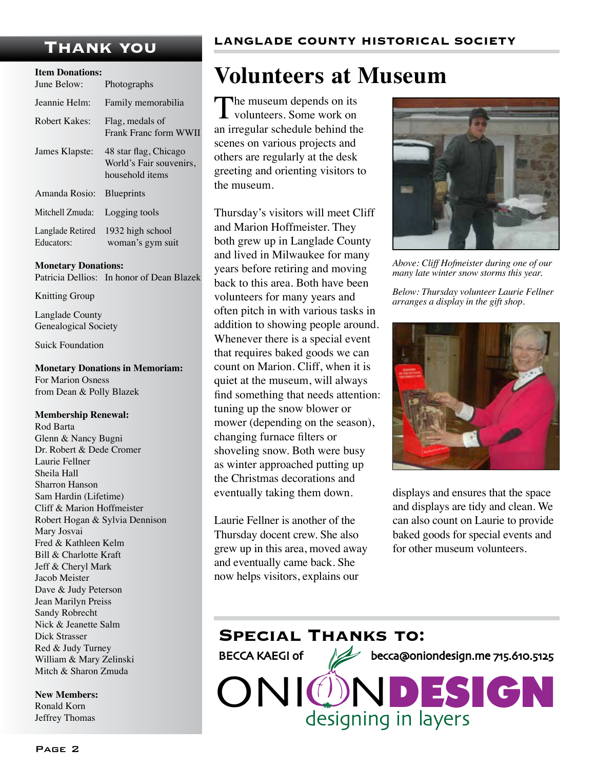| <b>Item Donations:</b>                                              |  |
|---------------------------------------------------------------------|--|
| Photographs                                                         |  |
| Family memorabilia                                                  |  |
| Flag, medals of<br>Frank Franc form WWII                            |  |
| 48 star flag, Chicago<br>World's Fair souvenirs,<br>household items |  |
| <b>Blueprints</b>                                                   |  |
| Logging tools                                                       |  |
| 1932 high school<br>woman's gym suit                                |  |
|                                                                     |  |

**Monetary Donations:** Patricia Dellios: In honor of Dean Blazek

Knitting Group

Langlade County Genealogical Society

Suick Foundation

**Monetary Donations in Memoriam:** For Marion Osness from Dean & Polly Blazek

#### **Membership Renewal:**

Rod Barta Glenn & Nancy Bugni Dr. Robert & Dede Cromer Laurie Fellner Sheila Hall Sharron Hanson Sam Hardin (Lifetime) Cliff & Marion Hoffmeister Robert Hogan & Sylvia Dennison Mary Josvai Fred & Kathleen Kelm Bill & Charlotte Kraft Jeff & Cheryl Mark Jacob Meister Dave & Judy Peterson Jean Marilyn Preiss Sandy Robrecht Nick & Jeanette Salm Dick Strasser Red & Judy Turney William & Mary Zelinski Mitch & Sharon Zmuda

**New Members:** Ronald Korn Jeffrey Thomas

### **Volunteers at Museum**

The museum depends on its **L** volunteers. Some work on an irregular schedule behind the scenes on various projects and others are regularly at the desk greeting and orienting visitors to the museum.

Thursday's visitors will meet Cliff and Marion Hoffmeister. They both grew up in Langlade County and lived in Milwaukee for many years before retiring and moving back to this area. Both have been volunteers for many years and often pitch in with various tasks in addition to showing people around. Whenever there is a special event that requires baked goods we can count on Marion. Cliff, when it is quiet at the museum, will always find something that needs attention: tuning up the snow blower or mower (depending on the season), changing furnace filters or shoveling snow. Both were busy as winter approached putting up the Christmas decorations and eventually taking them down.

Laurie Fellner is another of the Thursday docent crew. She also grew up in this area, moved away and eventually came back. She now helps visitors, explains our



*Above: Cliff Hofmeister during one of our many late winter snow storms this year.*

*Below: Thursday volunteer Laurie Fellner arranges a display in the gift shop.*



displays and ensures that the space and displays are tidy and clean. We can also count on Laurie to provide baked goods for special events and for other museum volunteers.

### **Special Thanks to:**

BECCA KAEGI of 22 becca@oniondesign.me 715.610.5125

**JNI** designing in layers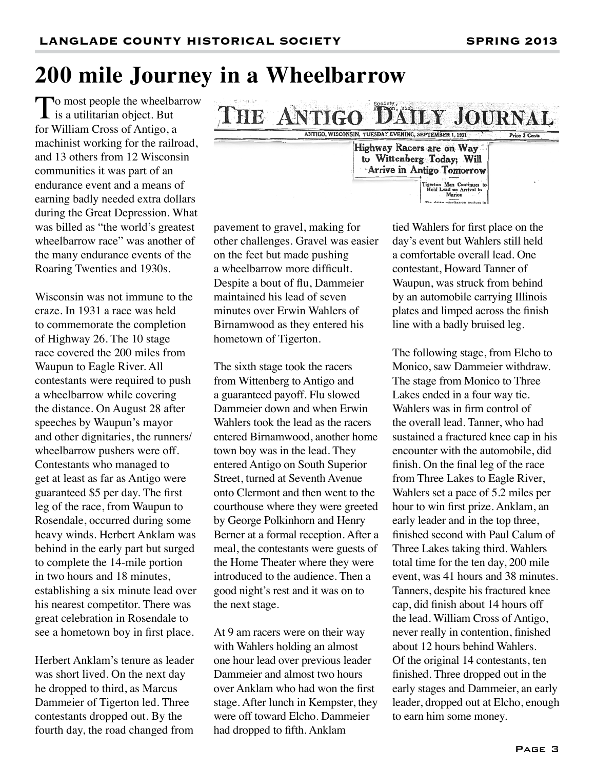# **200 mile Journey in a Wheelbarrow**

To most people the wheelbarrow  $\mathbf I$  is a utilitarian object. But for William Cross of Antigo, a machinist working for the railroad, and 13 others from 12 Wisconsin communities it was part of an endurance event and a means of earning badly needed extra dollars during the Great Depression. What was billed as "the world's greatest wheelbarrow race" was another of the many endurance events of the Roaring Twenties and 1930s.

Wisconsin was not immune to the craze. In 1931 a race was held to commemorate the completion of Highway 26. The 10 stage race covered the 200 miles from Waupun to Eagle River. All contestants were required to push a wheelbarrow while covering the distance. On August 28 after speeches by Waupun's mayor and other dignitaries, the runners/ wheelbarrow pushers were off. Contestants who managed to get at least as far as Antigo were guaranteed \$5 per day. The first leg of the race, from Waupun to Rosendale, occurred during some heavy winds. Herbert Anklam was behind in the early part but surged to complete the 14-mile portion in two hours and 18 minutes, establishing a six minute lead over his nearest competitor. There was great celebration in Rosendale to see a hometown boy in first place.

Herbert Anklam's tenure as leader was short lived. On the next day he dropped to third, as Marcus Dammeier of Tigerton led. Three contestants dropped out. By the fourth day, the road changed from pavement to gravel, making for other challenges. Gravel was easier on the feet but made pushing a wheelbarrow more difficult. Despite a bout of flu, Dammeier maintained his lead of seven minutes over Erwin Wahlers of Birnamwood as they entered his hometown of Tigerton.

**THE ANTIGO** 

The sixth stage took the racers from Wittenberg to Antigo and a guaranteed payoff. Flu slowed Dammeier down and when Erwin Wahlers took the lead as the racers entered Birnamwood, another home town boy was in the lead. They entered Antigo on South Superior Street, turned at Seventh Avenue onto Clermont and then went to the courthouse where they were greeted by George Polkinhorn and Henry Berner at a formal reception. After a meal, the contestants were guests of the Home Theater where they were introduced to the audience. Then a good night's rest and it was on to the next stage.

At 9 am racers were on their way with Wahlers holding an almost one hour lead over previous leader Dammeier and almost two hours over Anklam who had won the first stage. After lunch in Kempster, they were off toward Elcho. Dammeier had dropped to fifth. Anklam

tied Wahlers for first place on the day's event but Wahlers still held a comfortable overall lead. One contestant, Howard Tanner of Waupun, was struck from behind by an automobile carrying Illinois plates and limped across the finish line with a badly bruised leg.

**DAILY JOURNAL** 

Man Conti n wheel

ANTIGO, WISCONSIN, TUESDAY EVENING, SEPTEMBER 1, 1931

Highway Racers are on Way to Wittenberg Today; Will Arrive in Antigo Tomorrow

> The following stage, from Elcho to Monico, saw Dammeier withdraw. The stage from Monico to Three Lakes ended in a four way tie. Wahlers was in firm control of the overall lead. Tanner, who had sustained a fractured knee cap in his encounter with the automobile, did finish. On the final leg of the race from Three Lakes to Eagle River, Wahlers set a pace of 5.2 miles per hour to win first prize. Anklam, an early leader and in the top three, finished second with Paul Calum of Three Lakes taking third. Wahlers total time for the ten day, 200 mile event, was 41 hours and 38 minutes. Tanners, despite his fractured knee cap, did finish about 14 hours off the lead. William Cross of Antigo, never really in contention, finished about 12 hours behind Wahlers. Of the original 14 contestants, ten finished. Three dropped out in the early stages and Dammeier, an early leader, dropped out at Elcho, enough to earn him some money.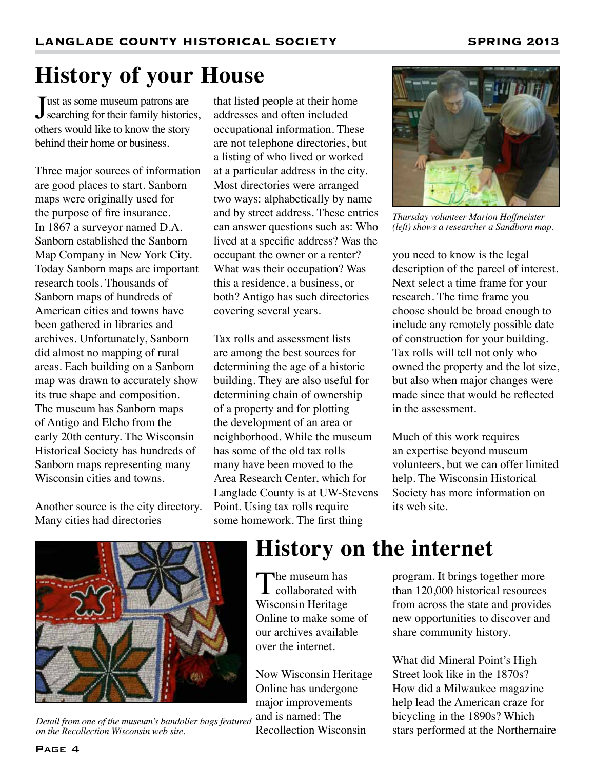# **History of your House**

Just as some museum patrons are<br>searching for their family histories, Tust as some museum patrons are others would like to know the story behind their home or business.

Three major sources of information are good places to start. Sanborn maps were originally used for the purpose of fire insurance. In 1867 a surveyor named D.A. Sanborn established the Sanborn Map Company in New York City. Today Sanborn maps are important research tools. Thousands of Sanborn maps of hundreds of American cities and towns have been gathered in libraries and archives. Unfortunately, Sanborn did almost no mapping of rural areas. Each building on a Sanborn map was drawn to accurately show its true shape and composition. The museum has Sanborn maps of Antigo and Elcho from the early 20th century. The Wisconsin Historical Society has hundreds of Sanborn maps representing many Wisconsin cities and towns.

Another source is the city directory. Many cities had directories

that listed people at their home addresses and often included occupational information. These are not telephone directories, but a listing of who lived or worked at a particular address in the city. Most directories were arranged two ways: alphabetically by name and by street address. These entries can answer questions such as: Who lived at a specific address? Was the occupant the owner or a renter? What was their occupation? Was this a residence, a business, or both? Antigo has such directories covering several years.

Tax rolls and assessment lists are among the best sources for determining the age of a historic building. They are also useful for determining chain of ownership of a property and for plotting the development of an area or neighborhood. While the museum has some of the old tax rolls many have been moved to the Area Research Center, which for Langlade County is at UW-Stevens Point. Using tax rolls require some homework. The first thing



*Thursday volunteer Marion Hoffmeister (left) shows a researcher a Sandborn map.*

you need to know is the legal description of the parcel of interest. Next select a time frame for your research. The time frame you choose should be broad enough to include any remotely possible date of construction for your building. Tax rolls will tell not only who owned the property and the lot size, but also when major changes were made since that would be reflected in the assessment.

Much of this work requires an expertise beyond museum volunteers, but we can offer limited help. The Wisconsin Historical Society has more information on its web site.



*Detail from one of the museum's bandolier bags featured on the Recollection Wisconsin web site.*

### **History on the internet**

The museum has<br>collaborated with Wisconsin Heritage Online to make some of our archives available over the internet.

Now Wisconsin Heritage Online has undergone major improvements and is named: The Recollection Wisconsin

program. It brings together more than 120,000 historical resources from across the state and provides new opportunities to discover and share community history.

What did Mineral Point's High Street look like in the 1870s? How did a Milwaukee magazine help lead the American craze for bicycling in the 1890s? Which stars performed at the Northernaire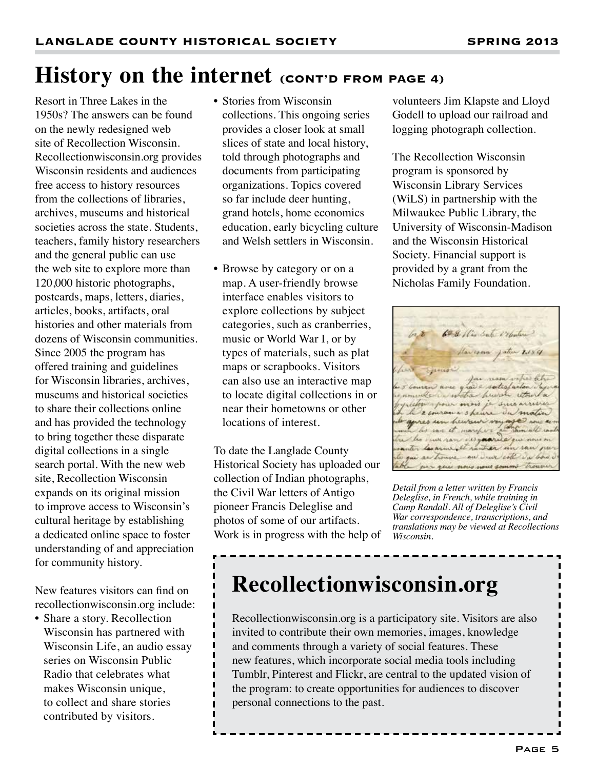### **History on the internet (CONT'D FROM PAGE 4)**

Resort in Three Lakes in the 1950s? The answers can be found on the newly redesigned web site of Recollection Wisconsin. Recollectionwisconsin.org provides Wisconsin residents and audiences free access to history resources from the collections of libraries, archives, museums and historical societies across the state. Students, teachers, family history researchers and the general public can use the web site to explore more than 120,000 historic photographs, postcards, maps, letters, diaries, articles, books, artifacts, oral histories and other materials from dozens of Wisconsin communities. Since 2005 the program has offered training and guidelines for Wisconsin libraries, archives, museums and historical societies to share their collections online and has provided the technology to bring together these disparate digital collections in a single search portal. With the new web site, Recollection Wisconsin expands on its original mission to improve access to Wisconsin's cultural heritage by establishing a dedicated online space to foster understanding of and appreciation for community history.

New features visitors can find on recollectionwisconsin.org include:

• Share a story. Recollection Wisconsin has partnered with Wisconsin Life, an audio essay series on Wisconsin Public Radio that celebrates what makes Wisconsin unique, to collect and share stories contributed by visitors.

- Stories from Wisconsin collections. This ongoing series provides a closer look at small slices of state and local history, told through photographs and documents from participating organizations. Topics covered so far include deer hunting, grand hotels, home economics education, early bicycling culture and Welsh settlers in Wisconsin.
- Browse by category or on a map. A user-friendly browse interface enables visitors to explore collections by subject categories, such as cranberries, music or World War I, or by types of materials, such as plat maps or scrapbooks. Visitors can also use an interactive map to locate digital collections in or near their hometowns or other locations of interest.

To date the Langlade County Historical Society has uploaded our collection of Indian photographs, the Civil War letters of Antigo pioneer Francis Deleglise and photos of some of our artifacts. Work is in progress with the help of volunteers Jim Klapste and Lloyd Godell to upload our railroad and logging photograph collection.

The Recollection Wisconsin program is sponsored by Wisconsin Library Services (WiLS) in partnership with the Milwaukee Public Library, the University of Wisconsin-Madison and the Wisconsin Historical Society. Financial support is provided by a grant from the Nicholas Family Foundation.

6ª & Mis Sate Velentere nose quare satisfaits decimates hunt retor por pour mois je suis 2 couran a 3 hours du matin genes un heuren voyage mar et marcher. wh sam cursuar as trouve an weer coll in bows que nous sous son

*Detail from a letter written by Francis Deleglise, in French, while training in Camp Randall. All of Deleglise's Civil War correspondence, transcriptions, and translations may be viewed at Recollections Wisconsin.*

# **Recollectionwisconsin.org**

Recollectionwisconsin.org is a participatory site. Visitors are also invited to contribute their own memories, images, knowledge and comments through a variety of social features. These new features, which incorporate social media tools including Tumblr, Pinterest and Flickr, are central to the updated vision of the program: to create opportunities for audiences to discover personal connections to the past.